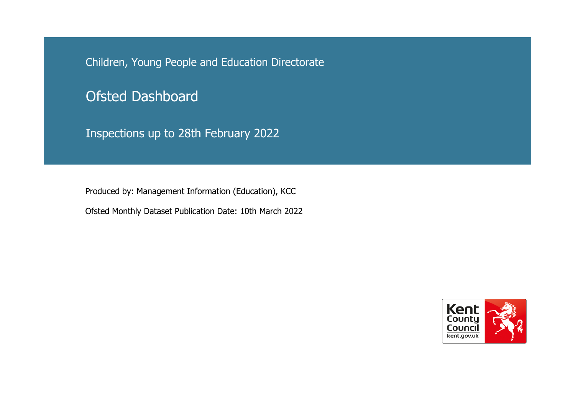Children, Young People and Education Directorate

Ofsted Dashboard

Inspections up to 28th February 2022

Produced by: Mana gement Information (Education), KCC

Ofsted Monthly Dataset Publication Date: 10th March 2022

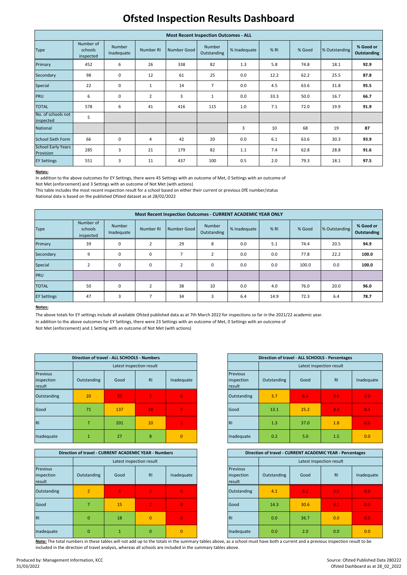# **Ofsted Inspection Results Dashboard**

#### **Notes:**

This table includes the most recent inspection result for a school based on either their current or previous DfE number/status

|                                               | <b>Most Recent Inspection Outcomes - ALL</b> |                      |                |             |                              |              |        |        |               |                                 |  |  |  |  |
|-----------------------------------------------|----------------------------------------------|----------------------|----------------|-------------|------------------------------|--------------|--------|--------|---------------|---------------------------------|--|--|--|--|
| <b>Type</b>                                   | Number of<br>schools<br>inspected            | Number<br>Inadequate | Number RI      | Number Good | <b>Number</b><br>Outstanding | % Inadequate | $%$ RI | % Good | % Outstanding | % Good or<br><b>Outstanding</b> |  |  |  |  |
| Primary                                       | 452                                          | 6                    | 26             | 338         | 82                           | 1.3          | 5.8    | 74.8   | 18.1          | 92.9                            |  |  |  |  |
| Secondary                                     | 98                                           | 0                    | 12             | 61          | 25                           | 0.0          | 12.2   | 62.2   | 25.5          | 87.8                            |  |  |  |  |
| Special                                       | 22<br>$\pmb{0}$<br>$\mathbf{1}$              |                      |                |             | $\overline{7}$               | 0.0          | 4.5    | 63.6   | 31.8          | 95.5                            |  |  |  |  |
| PRU                                           | 6                                            | $\pmb{0}$            | $\overline{2}$ | 3           | $\mathbf{1}$                 | 0.0          | 33.3   | 50.0   | 16.7          | 66.7                            |  |  |  |  |
| <b>TOTAL</b>                                  | 578                                          | 6                    | 41             | 416         | 115                          | 1.0          | 7.1    | 72.0   | 19.9          | 91.9                            |  |  |  |  |
| No. of schools not<br>inspected               | 5                                            |                      |                |             |                              |              |        |        |               |                                 |  |  |  |  |
| National                                      |                                              |                      |                |             |                              | 3            | 10     | 68     | 19            | 87                              |  |  |  |  |
| <b>School Sixth Form</b>                      | 66                                           | $\mathbf 0$          | 4              | 42          | 20                           | 0.0          | 6.1    | 63.6   | 30.3          | 93.9                            |  |  |  |  |
| <b>School Early Years</b><br><b>Provision</b> | 285                                          | 3                    | 21             | 179         | 82                           | 1.1          | 7.4    | 62.8   | 28.8          | 91.6                            |  |  |  |  |
| <b>EY Settings</b>                            | 551                                          | 3                    | 11             | 437         | 100                          | 0.5          | 2.0    | 79.3   | 18.1          | 97.5                            |  |  |  |  |

## **Notes:**

Note: The total numbers in these tables will not add up to the totals in the summary tables above, as a school must have both a current and a previous inspection result to be included in the direction of travel analysis, whereas all schools are included in the summary tables above.

| Inadequate |  |  | Inadequate | . <u>.</u> | - - | --- |  |
|------------|--|--|------------|------------|-----|-----|--|
|            |  |  |            |            |     |     |  |

| Most Recent Inspection Outcomes - CURRENT ACADEMIC YEAR ONLY |                                   |                             |                |                |                       |              |      |        |               |                                 |  |  |  |
|--------------------------------------------------------------|-----------------------------------|-----------------------------|----------------|----------------|-----------------------|--------------|------|--------|---------------|---------------------------------|--|--|--|
| <b>Type</b>                                                  | Number of<br>schools<br>inspected | <b>Number</b><br>Inadequate | Number RI      | Number Good    | Number<br>Outstanding | % Inadequate | % R1 | % Good | % Outstanding | % Good or<br><b>Outstanding</b> |  |  |  |
| Primary                                                      | 39                                | 0                           | 2              | 29             | 8                     | 0.0          | 5.1  | 74.4   | 20.5          | 94.9                            |  |  |  |
| Secondary                                                    | 9                                 | 0                           | 0              | $\overline{7}$ | $\overline{2}$        | 0.0          | 0.0  | 77.8   | 22.2          | 100.0                           |  |  |  |
| Special                                                      | $\overline{2}$                    | 0                           | 0              | $\overline{2}$ | 0                     | 0.0          | 0.0  | 100.0  | 0.0           | 100.0                           |  |  |  |
| PRU                                                          |                                   |                             |                |                |                       |              |      |        |               |                                 |  |  |  |
| <b>TOTAL</b>                                                 | 50                                | 0                           | $\overline{2}$ | 38             | 10                    | 0.0          | 4.0  | 76.0   | 20.0          | 96.0                            |  |  |  |
| <b>EY Settings</b>                                           | 47                                | 3                           | $\overline{ }$ | 34             | 3                     | 6.4          | 14.9 | 72.3   | 6.4           | 78.7                            |  |  |  |

|                                  | Direction of travel - CURRENT ACADEMIC YEAR - Numbers |      |                          |                |                                         | Direction of travel - CURRENT ACADEMIC YEAR - Percentages |      |                  |        |  |  |
|----------------------------------|-------------------------------------------------------|------|--------------------------|----------------|-----------------------------------------|-----------------------------------------------------------|------|------------------|--------|--|--|
|                                  |                                                       |      | Latest inspection result |                |                                         | Latest inspection result                                  |      |                  |        |  |  |
| Previous<br>inspection<br>result | Outstanding                                           | Good | R <sub>1</sub>           | Inadequate     | <b>Previous</b><br>inspection<br>result | Outstanding                                               | Good | R <sub>1</sub>   | Inadeq |  |  |
| Outstanding                      | $\overline{2}$                                        | 4    | $\mathbf{0}$             | $\overline{0}$ | Outstanding                             | 4.1                                                       | 8.2  | 0.0 <sub>1</sub> | 0.0    |  |  |
| Good                             |                                                       | 15   | י 2                      | $\overline{0}$ | Good                                    | 14.3                                                      | 30.6 | 4.1              | 0.0    |  |  |
| <b>RI</b>                        | $\overline{0}$                                        | 18   | $\mathbf{0}$             | $\Omega$       | IRI                                     | 0.0                                                       | 36.7 | 0.0              | 0.0    |  |  |
| Inadequate                       | $\overline{0}$                                        |      | $\overline{0}$           | $\mathbf{0}$   | Inadequate                              | 0.0 <sub>1</sub>                                          | 2.0  | 0.0 <sub>1</sub> | 0.0    |  |  |

| Inadequate |  |  |
|------------|--|--|
|            |  |  |

Not Met (enforcement) and 1 Setting with an outcome of Not Met (with actions)

|                                         | Direction of travel - ALL SCHOOLS - Numbers |      |                          |                |  |  |
|-----------------------------------------|---------------------------------------------|------|--------------------------|----------------|--|--|
|                                         |                                             |      | Latest inspection result |                |  |  |
| <b>Previous</b><br>inspection<br>result | Outstanding                                 | Good | R <sub>1</sub>           | Inadequate     |  |  |
| Outstanding                             | 20                                          | 35   | $\overline{3}$           | $\overline{0}$ |  |  |
| Good                                    | 71                                          | 137  | 18                       |                |  |  |
| <b>RI</b>                               |                                             | 201  | 10                       | ß,             |  |  |
|                                         |                                             |      |                          |                |  |  |

In addition to the above outcomes for EY Settings, there were 45 Settings with an outcome of Met, 0 Settings with an outcome of Not Met (enforcement) and 3 Settings with an outcome of Not Met (with actions)

In addition to the above outcomes for EY Settings, there were 23 Settings with an outcome of Met, 0 Settings with an outcome of The above totals for EY settings include all available Ofsted published data as at 7th March 2022 for inspections so far in the 2021/22 academic year.

|      | <b>ALL SCHOOLS - Numbers</b> |                |                                  | Direction of travel - ALL SCHOOLS - Percentages |      |                |            |  |  |  |  |
|------|------------------------------|----------------|----------------------------------|-------------------------------------------------|------|----------------|------------|--|--|--|--|
|      | Latest inspection result     |                |                                  | Latest inspection result                        |      |                |            |  |  |  |  |
| Good | R1                           | Inadequate     | Previous<br>inspection<br>result | Outstanding                                     | Good | R <sub>1</sub> | Inadequate |  |  |  |  |
| 35   | $\overline{3}$               | $\overline{0}$ | Outstanding                      | 3.7                                             | 6.4  | 0.6            |            |  |  |  |  |
|      | 18                           | $\overline{2}$ | Good                             | 13.1                                            | 25.2 | 3.3            |            |  |  |  |  |
|      | 10                           | 3              | <b>RI</b>                        | 1.3                                             | 37.0 | 1.8            |            |  |  |  |  |
|      |                              |                |                                  |                                                 |      |                |            |  |  |  |  |

|                | Direction of travel - CURRENT ACADEMIC YEAR - Numbers |                          |                | Direction of travel - CURRENT ACADEMIC YEAR - Percentages |                          |      |           |                  |  |
|----------------|-------------------------------------------------------|--------------------------|----------------|-----------------------------------------------------------|--------------------------|------|-----------|------------------|--|
|                |                                                       | Latest inspection result |                |                                                           | Latest inspection result |      |           |                  |  |
| Outstanding    | Good                                                  | R <sub>1</sub>           | Inadequate     | <b>Previous</b><br>inspection<br>result                   | Outstanding              | Good | <b>RI</b> | Inadequate       |  |
| $\overline{2}$ | 4                                                     | $\overline{0}$           | $\overline{0}$ | Outstanding                                               | 4.1                      | 8.2  | 0.0       | 0.0 <sub>1</sub> |  |
| $\overline{7}$ | 15                                                    | $\overline{2}$           | $\overline{0}$ | Good                                                      | 14.3                     | 30.6 | 4.1       | 0.0 <sub>1</sub> |  |
| $\mathbf{0}$   | 18                                                    | $\overline{0}$           | $\overline{0}$ | <b>RI</b>                                                 | 0.0                      | 36.7 | 0.0       | 0.0 <sub>1</sub> |  |
| $\mathbf{0}$   | $\mathbf{1}$                                          | $\Omega$                 | $\mathbf{0}$   | Inadequate                                                | 0.0                      | 2.0  | 0.0       | 0.0              |  |

National data is based on the published Ofsted dataset as at 28/02/2022

Source: Ofsted Published Data 280222 Ofsted Dashboard as at 28\_02\_2022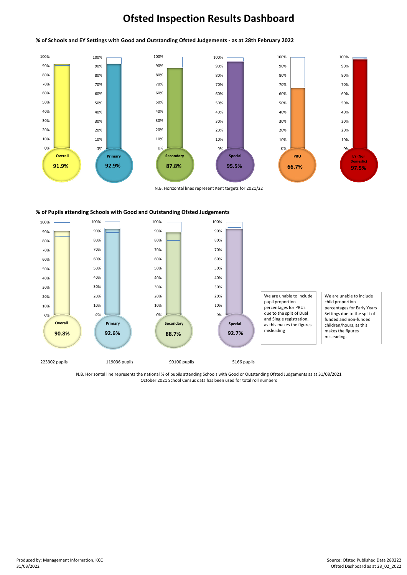# **Ofsted Inspection Results Dashboard**

### **% of Pupils attending Schools with Good and Outstanding Ofsted Judgements**

October 2021 School Census data has been used for total roll numbers N.B. Horizontal line represents the national % of pupils attending Schools with Good or Outstanding Ofsted Judgements as at 31/08/2021



#### % of Schools and EY Settings with Good and Outstanding Ofsted Judgements - as at 28th February 2022



Produced by: Management Information, KCC 31/03/2022

Source: Ofsted Published Data 280222 Ofsted Dashboard as at 28\_02\_2022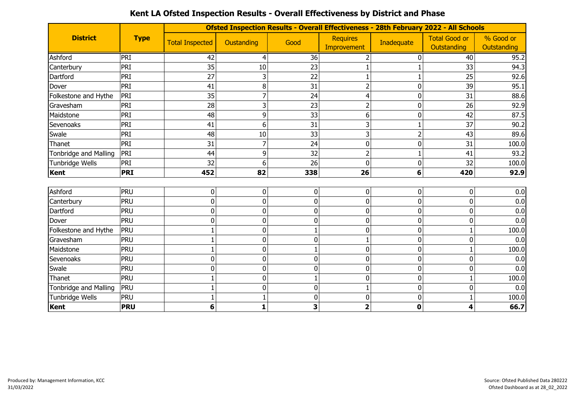|                       |                  |                        |                |                |                                | Ofsted Inspection Results - Overall Effectiveness - 28th February 2022 - All Schools |                                     |                          |
|-----------------------|------------------|------------------------|----------------|----------------|--------------------------------|--------------------------------------------------------------------------------------|-------------------------------------|--------------------------|
| <b>District</b>       | <b>Type</b>      | <b>Total Inspected</b> | Oustanding     | Good           | <b>Requires</b><br>Improvement | Inadequate                                                                           | <b>Total Good or</b><br>Outstanding | % Good or<br>Outstanding |
| Ashford               | $\overline{PRI}$ | 42                     | 4              | 36             | 2                              | 0                                                                                    | 40                                  | 95.2                     |
| Canterbury            | PRI              | 35                     | 10             | 23             |                                |                                                                                      | 33                                  | 94.3                     |
| Dartford              | PRI              | 27                     | 3              | 22             |                                |                                                                                      | 25                                  | 92.6                     |
| Dover                 | PRI              | 41                     | 8              | 31             |                                | 0                                                                                    | 39                                  | 95.1                     |
| Folkestone and Hythe  | PRI              | 35                     | 7              | 24             | 4                              | 0                                                                                    | 31                                  | 88.6                     |
| Gravesham             | PRI              | 28                     | 3              | 23             |                                | 0                                                                                    | 26                                  | 92.9                     |
| Maidstone             | PRI              | 48                     | 9              | 33             | 6                              | 0                                                                                    | 42                                  | 87.5                     |
| Sevenoaks             | PRI              | 41                     | 6              | 31             | 3                              |                                                                                      | 37                                  | 90.2                     |
| Swale                 | PRI              | 48                     | 10             | 33             | 3                              | $\overline{2}$                                                                       | 43                                  | 89.6                     |
| Thanet                | PRI              | 31                     | 7              | 24             | $\Omega$                       | 0                                                                                    | 31                                  | 100.0                    |
| Tonbridge and Malling | PRI              | 44                     | 9              | 32             | 2                              | $\mathbf 1$                                                                          | 41                                  | 93.2                     |
| Tunbridge Wells       | PRI              | 32                     | 6              | 26             | $\Omega$                       | 0                                                                                    | 32                                  | 100.0                    |
| Kent                  | <b>PRI</b>       | 452                    | 82             | 338            | 26                             | 6                                                                                    | 420                                 | 92.9                     |
|                       |                  |                        |                |                |                                |                                                                                      |                                     |                          |
| Ashford               | PRU              | 0                      | $\overline{0}$ | $\overline{0}$ | 0                              | 0                                                                                    | 0                                   | 0.0                      |
| Canterbury            | PRU              | $\Omega$               | 0              | 0              | 0                              | 0                                                                                    | 0                                   | 0.0                      |
| Dartford              | PRU              | $\Omega$               | 0              | 0              | 0                              | 0                                                                                    | 0                                   | 0.0                      |
| Dover                 | PRU              | 0                      | 0              | 0              | 0                              | 0                                                                                    | 0                                   | 0.0                      |
| Folkestone and Hythe  | <b>PRU</b>       |                        | 0              |                | 0                              | 0                                                                                    | 1                                   | 100.0                    |
| Gravesham             | PRU              |                        | 0              | 0              |                                | 0                                                                                    | 0                                   | 0.0                      |
| Maidstone             | PRU              |                        | 0              |                | 0                              | 0                                                                                    | 1                                   | 100.0                    |
| Sevenoaks             | PRU              | 0                      | 0              | 0              | 0                              | 0                                                                                    | 0                                   | 0.0                      |
| Swale                 | PRU              | 0                      | 0              | 0              | $\Omega$                       | 0                                                                                    | 0                                   | 0.0                      |
| Thanet                | PRU              |                        | 0              |                | 0                              | 0                                                                                    | 1                                   | 100.0                    |
| Tonbridge and Malling | PRU              |                        | 0              | 0              |                                | 0                                                                                    | 0                                   | 0.0                      |
| Tunbridge Wells       | PRU              |                        |                | 0              | 0                              | 0                                                                                    |                                     | 100.0                    |
| Kent                  | <b>PRU</b>       | 6                      | 1              | 3              | 2                              | 0                                                                                    | 4                                   | 66.7                     |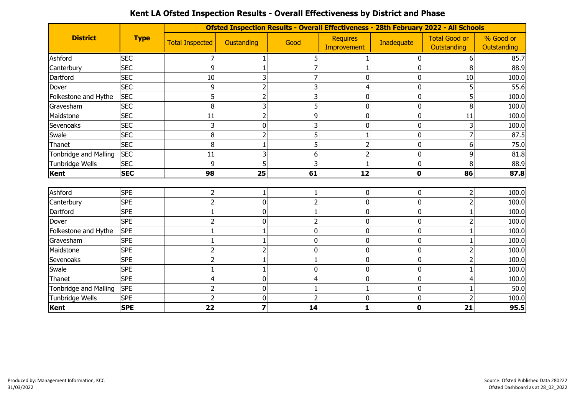|                              | <b>Type</b> |                        |                         |                |                                | Ofsted Inspection Results - Overall Effectiveness - 28th February 2022 - All Schools |                                     |                          |
|------------------------------|-------------|------------------------|-------------------------|----------------|--------------------------------|--------------------------------------------------------------------------------------|-------------------------------------|--------------------------|
| <b>District</b>              |             | <b>Total Inspected</b> | Oustanding              | Good           | <b>Requires</b><br>Improvement | Inadequate                                                                           | <b>Total Good or</b><br>Outstanding | % Good or<br>Outstanding |
| Ashford                      | <b>SEC</b>  |                        |                         | 5              |                                | 0                                                                                    | 6                                   | 85.7                     |
| Canterbury                   | <b>SEC</b>  | 9                      |                         |                |                                | 0                                                                                    | 8                                   | 88.9                     |
| Dartford                     | <b>SEC</b>  | 10                     | 3                       |                | 0                              | 0                                                                                    | 10                                  | 100.0                    |
| Dover                        | <b>SEC</b>  | 9                      |                         | 3              |                                | 0                                                                                    | 5                                   | 55.6                     |
| Folkestone and Hythe         | <b>SEC</b>  |                        | 2                       | 3              | 0                              | 0                                                                                    | 5                                   | 100.0                    |
| Gravesham                    | <b>SEC</b>  | 8                      | 3                       | 5              | $\overline{0}$                 | 0                                                                                    | 8                                   | 100.0                    |
| Maidstone                    | <b>SEC</b>  | 11                     |                         | 9              | 0                              | 0                                                                                    | 11                                  | 100.0                    |
| Sevenoaks                    | <b>SEC</b>  |                        | $\Omega$                | 3              | 0                              | 0                                                                                    | 3                                   | 100.0                    |
| Swale                        | <b>SEC</b>  | 8                      |                         | 5              |                                | 0                                                                                    | 7                                   | 87.5                     |
| Thanet                       | <b>SEC</b>  | 8                      |                         | 5              |                                | 0                                                                                    | 6                                   | 75.0                     |
| Tonbridge and Malling        | <b>SEC</b>  | 11                     |                         | 6              |                                | 0                                                                                    | 9                                   | 81.8                     |
| Tunbridge Wells              | <b>SEC</b>  | $\mathbf{Q}$           |                         |                |                                | 0                                                                                    | 8                                   | 88.9                     |
| Kent                         | <b>SEC</b>  | 98                     | 25                      | 61             | 12                             | $\mathbf 0$                                                                          | 86                                  | 87.8                     |
|                              |             |                        |                         |                |                                |                                                                                      |                                     |                          |
| Ashford                      | <b>SPE</b>  |                        |                         |                | 0                              | 0                                                                                    | $\overline{2}$                      | 100.0                    |
| Canterbury                   | <b>SPE</b>  |                        | 0                       | $\overline{2}$ | 0                              | 0                                                                                    | $\overline{2}$                      | 100.0                    |
| Dartford                     | <b>SPE</b>  |                        | 0                       |                | 0                              | 0                                                                                    | 1                                   | 100.0                    |
| Dover                        | <b>SPE</b>  |                        | $\mathbf{0}$            | $\overline{2}$ | 0                              | 0                                                                                    | $\overline{2}$                      | 100.0                    |
| Folkestone and Hythe         | <b>SPE</b>  |                        |                         | 0              | $\Omega$                       | 0                                                                                    | 1                                   | 100.0                    |
| Gravesham                    | <b>SPE</b>  |                        |                         | 0              | 0                              | 0                                                                                    |                                     | 100.0                    |
| Maidstone                    | <b>SPE</b>  |                        |                         | 0              | $\overline{0}$                 | 0                                                                                    | $\overline{2}$                      | 100.0                    |
| Sevenoaks                    | <b>SPE</b>  |                        |                         |                | 0                              | 0                                                                                    | $\overline{2}$                      | 100.0                    |
| Swale                        | <b>SPE</b>  |                        |                         | 0              | 0                              | 0                                                                                    | 1                                   | 100.0                    |
| Thanet                       | <b>SPE</b>  |                        | 0                       |                | 0                              | 0                                                                                    | 4                                   | 100.0                    |
| <b>Tonbridge and Malling</b> | <b>SPE</b>  |                        | 0                       |                |                                | 0                                                                                    | 1                                   | 50.0                     |
| Tunbridge Wells              | <b>SPE</b>  |                        | 0                       |                | 0                              | 0                                                                                    | $\overline{2}$                      | 100.0                    |
| <b>Kent</b>                  | <b>SPE</b>  | 22                     | $\overline{\mathbf{z}}$ | 14             | 1                              | 0                                                                                    | 21                                  | 95.5                     |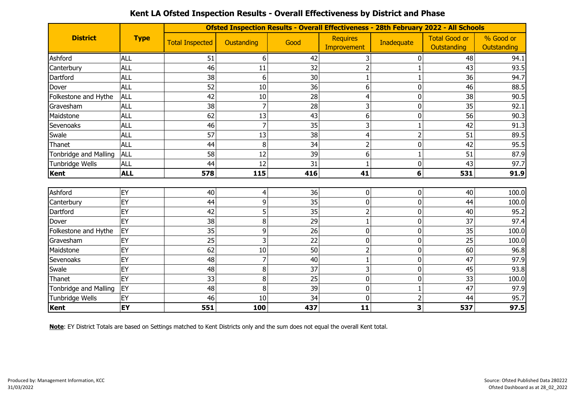|                              |             |                        | <b>Ofsted Inspection Results - Overall Effectiveness - 28th February 2022 - All Schools</b> |      |                                |                |                                     |                          |  |  |  |  |  |  |
|------------------------------|-------------|------------------------|---------------------------------------------------------------------------------------------|------|--------------------------------|----------------|-------------------------------------|--------------------------|--|--|--|--|--|--|
| <b>District</b>              | <b>Type</b> | <b>Total Inspected</b> | Oustanding                                                                                  | Good | <b>Requires</b><br>Improvement | Inadequate     | <b>Total Good or</b><br>Outstanding | % Good or<br>Outstanding |  |  |  |  |  |  |
| Ashford                      | <b>ALL</b>  | 51                     | 6                                                                                           | 42   | 3                              | 0              | 48                                  | 94.1                     |  |  |  |  |  |  |
| Canterbury                   | <b>ALL</b>  | 46                     | 11                                                                                          | 32   |                                |                | 43                                  | 93.5                     |  |  |  |  |  |  |
| Dartford                     | <b>ALL</b>  | 38                     | 6                                                                                           | 30   |                                |                | 36                                  | 94.7                     |  |  |  |  |  |  |
| Dover                        | <b>ALL</b>  | 52                     | 10                                                                                          | 36   | 6                              | 0              | 46                                  | 88.5                     |  |  |  |  |  |  |
| Folkestone and Hythe         | <b>ALL</b>  | 42                     | 10                                                                                          | 28   |                                | 0              | 38                                  | 90.5                     |  |  |  |  |  |  |
| Gravesham                    | <b>ALL</b>  | 38                     | 7                                                                                           | 28   | 3                              | 0              | 35                                  | 92.1                     |  |  |  |  |  |  |
| Maidstone                    | <b>ALL</b>  | 62                     | 13                                                                                          | 43   | 6                              | 0              | 56                                  | 90.3                     |  |  |  |  |  |  |
| Sevenoaks                    | <b>ALL</b>  | 46                     | 7                                                                                           | 35   | 3                              | $\mathbf{1}$   | 42                                  | 91.3                     |  |  |  |  |  |  |
| Swale                        | <b>ALL</b>  | 57                     | 13                                                                                          | 38   | 4                              | $\overline{2}$ | 51                                  | 89.5                     |  |  |  |  |  |  |
| Thanet                       | <b>ALL</b>  | 44                     | 8                                                                                           | 34   | 2                              | 0              | 42                                  | 95.5                     |  |  |  |  |  |  |
| Tonbridge and Malling        | <b>ALL</b>  | 58                     | 12                                                                                          | 39   | 6                              | $\,1$          | 51                                  | 87.9                     |  |  |  |  |  |  |
| Tunbridge Wells              | <b>ALL</b>  | 44                     | 12                                                                                          | 31   |                                | 0              | 43                                  | 97.7                     |  |  |  |  |  |  |
| Kent                         | <b>ALL</b>  | 578                    | 115                                                                                         | 416  | 41                             | 6              | 531                                 | 91.9                     |  |  |  |  |  |  |
|                              |             |                        |                                                                                             |      |                                |                |                                     |                          |  |  |  |  |  |  |
| Ashford                      | EY          | 40                     | 4                                                                                           | 36   | 0                              | 0              | 40                                  | 100.0                    |  |  |  |  |  |  |
| Canterbury                   | EY          | 44                     | 9                                                                                           | 35   | $\mathbf 0$                    | 0              | 44                                  | 100.0                    |  |  |  |  |  |  |
| Dartford                     | EY          | 42                     | 5                                                                                           | 35   | $\overline{2}$                 | 0              | 40                                  | 95.2                     |  |  |  |  |  |  |
| Dover                        | EY          | 38                     | 8                                                                                           | 29   |                                | 0              | 37                                  | 97.4                     |  |  |  |  |  |  |
| Folkestone and Hythe         | EY          | 35                     | 9                                                                                           | 26   | 0                              | 0              | 35                                  | 100.0                    |  |  |  |  |  |  |
| Gravesham                    | EY          | 25                     | 3                                                                                           | 22   | 0                              | 0              | 25                                  | 100.0                    |  |  |  |  |  |  |
| Maidstone                    | EY          | 62                     | 10                                                                                          | 50   | $\overline{2}$                 | 0              | 60                                  | 96.8                     |  |  |  |  |  |  |
| Sevenoaks                    | EY          | 48                     |                                                                                             | 40   |                                | 0              | 47                                  | 97.9                     |  |  |  |  |  |  |
| Swale                        | EY          | 48                     | 8                                                                                           | 37   | 3                              | 0              | 45                                  | 93.8                     |  |  |  |  |  |  |
| Thanet                       | EY          | 33                     | 8                                                                                           | 25   | $\mathbf 0$                    | 0              | 33                                  | 100.0                    |  |  |  |  |  |  |
| <b>Tonbridge and Malling</b> | EY          | 48                     | 8                                                                                           | 39   | 0                              | $\mathbf{1}$   | 47                                  | 97.9                     |  |  |  |  |  |  |
| Tunbridge Wells              | EY          | 46                     | 10                                                                                          | 34   | $\Omega$                       | $\overline{2}$ | 44                                  | 95.7                     |  |  |  |  |  |  |
| Kent                         | EY          | 551                    | 100                                                                                         | 437  | 11                             | 3              | 537                                 | 97.5                     |  |  |  |  |  |  |

**Note**: EY District Totals are based on Settings matched to Kent Districts only and the sum does not equal the overall Kent total.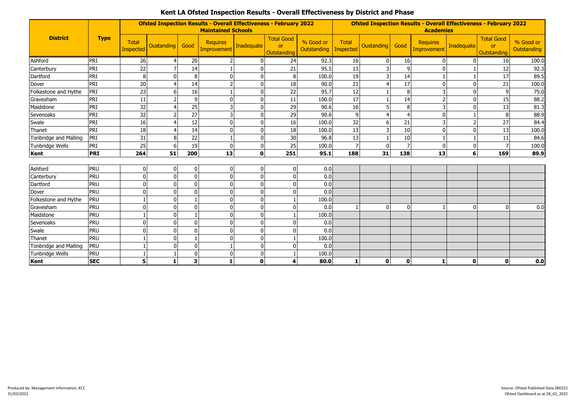|                       |             |                                  | <b>Ofsted Inspection Results - Overall Effectiveness - February 2022</b><br><b>Maintained Schools</b> |                         |                                |              |                                               |                          | <b>Ofsted Inspection Results - Overall Effectiveness - February 2022</b><br><b>Academies</b> |                   |                |                                       |                |                                               |                          |
|-----------------------|-------------|----------------------------------|-------------------------------------------------------------------------------------------------------|-------------------------|--------------------------------|--------------|-----------------------------------------------|--------------------------|----------------------------------------------------------------------------------------------|-------------------|----------------|---------------------------------------|----------------|-----------------------------------------------|--------------------------|
| <b>District</b>       | <b>Type</b> | <b>Total</b><br><b>Inspected</b> | Oustanding                                                                                            | Good                    | <b>Requires</b><br>Improvement | Inadequate   | <b>Total Good</b><br><b>or</b><br>Outstanding | % Good or<br>Outstanding | Total<br><b>Inspected</b>                                                                    | <b>Oustanding</b> | Good           | <b>Requires</b><br><b>Improvement</b> | Inadequate     | <b>Total Good</b><br><b>or</b><br>Outstanding | % Good or<br>Outstanding |
| Ashford               | PRI         | 26                               | 4                                                                                                     | 20                      |                                |              | 24                                            | 92.3                     | 16                                                                                           | $\overline{0}$    | 16             | $\mathbf{0}$                          | $\overline{0}$ | 16                                            | 100.0                    |
| Canterbury            | PRI         | 22                               |                                                                                                       | 14                      |                                |              | 21                                            | 95.5                     | 13                                                                                           | 3                 | 9              | $\mathbf 0$                           |                | 12                                            | 92.3                     |
| Dartford              | PRI         | 8                                |                                                                                                       | 8                       | $\Omega$                       |              | $\,8\,$                                       | 100.0                    | 19                                                                                           | 3                 | 14             |                                       |                | 17                                            | 89.5                     |
| Dover                 | PRI         | 20                               | ⊿                                                                                                     | 14                      |                                |              | 18                                            | 90.0                     | 21                                                                                           | $\overline{4}$    | 17             | $\mathbf 0$                           | $\mathbf{0}$   | 21                                            | 100.0                    |
| Folkestone and Hythe  | PRI         | 23                               | 6                                                                                                     | 16                      |                                |              | 22                                            | 95.7                     | 12                                                                                           | 1                 | 8              | 3                                     | $\mathbf{0}$   | 9                                             | 75.0                     |
| Gravesham             | PRI         | 11                               | $\overline{\phantom{a}}$                                                                              | 9                       | $\Omega$                       |              | 11                                            | 100.0                    | 17                                                                                           |                   | 14             | $\overline{2}$                        | $\mathbf{0}$   | 15                                            | 88.2                     |
| Maidstone             | PRI         | 32                               |                                                                                                       | 25                      |                                |              | 29                                            | 90.6                     | 16                                                                                           | 5                 | 8              | 3                                     | $\Omega$       | 13                                            | 81.3                     |
| Sevenoaks             | PRI         | 32                               |                                                                                                       | $\overline{27}$         |                                |              | 29                                            | 90.6                     | 9                                                                                            | 4                 | 4              | $\mathbf 0$                           |                |                                               | 88.9                     |
| Swale                 | PRI         | 16                               |                                                                                                       | 12                      | $\Omega$                       |              | 16                                            | 100.0                    | 32                                                                                           | 6                 | 21             | 3                                     | $\overline{2}$ | 27                                            | 84.4                     |
| Thanet                | PRI         | 18                               | Δ                                                                                                     | 14                      | $\Omega$                       |              | 18                                            | 100.0                    | 13                                                                                           | 3                 | 10             | $\mathbf 0$                           | $\mathbf{0}$   | 13                                            | 100.0                    |
| Tonbridge and Malling | PRI         | 31                               | 8                                                                                                     | 22                      |                                |              | 30                                            | 96.8                     | 13                                                                                           | $\mathbf{1}$      | 10             | $\mathbf{1}$                          | $\mathbf{1}$   | 11                                            | 84.6                     |
| Tunbridge Wells       | PRI         | 25                               | 6                                                                                                     | 19                      | $\mathbf{0}$                   |              | 25                                            | 100.0                    | $\overline{7}$                                                                               | $\mathbf{0}$      | $\overline{7}$ | $\mathbf 0$                           | $\mathbf 0$    |                                               | 100.0                    |
| Kent                  | <b>PRI</b>  | 264                              | 51                                                                                                    | 200                     | 13                             | $\mathbf{0}$ | 251                                           | 95.1                     | 188                                                                                          | 31                | 138            | 13                                    | 6              | 169                                           | 89.9                     |
| Ashford               | <b>PRU</b>  | $\mathbf{0}$                     | $\overline{0}$                                                                                        | $\mathbf 0$             | 0                              |              | $\mathbf 0$                                   | 0.0                      |                                                                                              |                   |                |                                       |                |                                               |                          |
| Canterbury            | <b>PRU</b>  | $\Omega$                         | $\Omega$                                                                                              | $\mathbf 0$             | $\Omega$                       |              | $\pmb{0}$                                     | 0.0                      |                                                                                              |                   |                |                                       |                |                                               |                          |
| Dartford              | PRU         | $\Omega$                         | $\Omega$                                                                                              | $\mathbf{0}$            | $\mathbf{0}$                   |              | 0                                             | 0.0                      |                                                                                              |                   |                |                                       |                |                                               |                          |
| Dover                 | PRU         | $\Omega$                         | $\Omega$                                                                                              | $\mathbf 0$             | $\mathbf{0}$                   |              | 0                                             | 0.0                      |                                                                                              |                   |                |                                       |                |                                               |                          |
| Folkestone and Hythe  | PRU         |                                  | $\Omega$                                                                                              | $\mathbf{1}$            | $\Omega$                       |              | $\mathbf{1}$                                  | 100.0                    |                                                                                              |                   |                |                                       |                |                                               |                          |
| Gravesham             | PRU         | $\Omega$                         | 0                                                                                                     | $\mathbf{0}$            | $\Omega$                       |              | $\mathbf 0$                                   | 0.0                      |                                                                                              | $\mathbf 0$       | 0              |                                       | $\mathbf{0}$   |                                               | 0.0                      |
| Maidstone             | PRU         |                                  | $\mathbf{0}$                                                                                          | $\mathbf{1}$            | $\Omega$                       |              | $\mathbf{1}$                                  | 100.0                    |                                                                                              |                   |                |                                       |                |                                               |                          |
| Sevenoaks             | PRU         | $\Omega$                         | $\mathbf{0}$                                                                                          | $\mathbf{0}$            | $\Omega$                       |              | $\mathbf 0$                                   | 0.0                      |                                                                                              |                   |                |                                       |                |                                               |                          |
| Swale                 | PRU         | $\Omega$                         | $\Omega$                                                                                              | $\mathbf{0}$            | $\mathbf{0}$                   |              | 0                                             | 0.0                      |                                                                                              |                   |                |                                       |                |                                               |                          |
| Thanet                | <b>PRU</b>  |                                  | 0                                                                                                     | $\mathbf{1}$            | <sup>0</sup>                   |              | $\mathbf{1}$                                  | 100.0                    |                                                                                              |                   |                |                                       |                |                                               |                          |
| Tonbridge and Malling | <b>PRU</b>  |                                  | $\Omega$                                                                                              | $\mathbf 0$             |                                |              | $\mathbf 0$                                   | 0.0                      |                                                                                              |                   |                |                                       |                |                                               |                          |
| Tunbridge Wells       | <b>PRU</b>  |                                  |                                                                                                       | $\Omega$                | $\Omega$                       |              | 1                                             | 100.0                    |                                                                                              |                   |                |                                       |                |                                               |                          |
| Kent                  | <b>SEC</b>  | 5                                | 1                                                                                                     | $\overline{\mathbf{3}}$ |                                | $\mathbf{0}$ | 4                                             | 80.0                     | 1                                                                                            | $\mathbf{0}$      | $\mathbf{0}$   | $\mathbf{1}$                          | $\mathbf 0$    | $\mathbf{0}$                                  | 0.0                      |